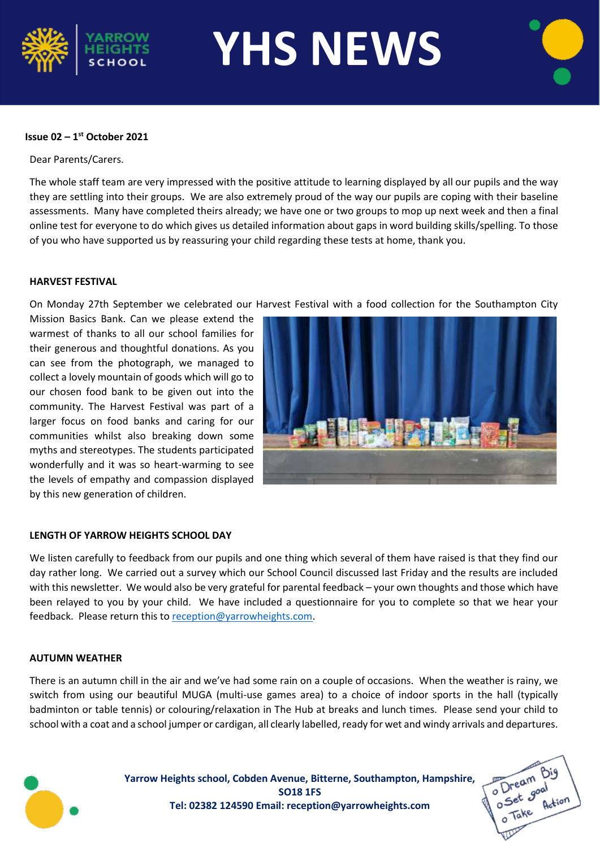

**YHS NEWS**

## **Issue 02 – 1 st October 2021**

Dear Parents/Carers.

The whole staff team are very impressed with the positive attitude to learning displayed by all our pupils and the way they are settling into their groups. We are also extremely proud of the way our pupils are coping with their baseline assessments. Many have completed theirs already; we have one or two groups to mop up next week and then a final online test for everyone to do which gives us detailed information about gaps in word building skills/spelling. To those of you who have supported us by reassuring your child regarding these tests at home, thank you.

#### **HARVEST FESTIVAL**

On Monday 27th September we celebrated our Harvest Festival with a food collection for the Southampton City

Mission Basics Bank. Can we please extend the warmest of thanks to all our school families for their generous and thoughtful donations. As you can see from the photograph, we managed to collect a lovely mountain of goods which will go to our chosen food bank to be given out into the community. The Harvest Festival was part of a larger focus on food banks and caring for our communities whilst also breaking down some myths and stereotypes. The students participated wonderfully and it was so heart-warming to see the levels of empathy and compassion displayed by this new generation of children.



## **LENGTH OF YARROW HEIGHTS SCHOOL DAY**

We listen carefully to feedback from our pupils and one thing which several of them have raised is that they find our day rather long. We carried out a survey which our School Council discussed last Friday and the results are included with this newsletter. We would also be very grateful for parental feedback – your own thoughts and those which have been relayed to you by your child. We have included a questionnaire for you to complete so that we hear your feedback. Please return this to [reception@yarrowheights.com.](mailto:reception@yarrowheights.com)

## **AUTUMN WEATHER**

There is an autumn chill in the air and we've had some rain on a couple of occasions. When the weather is rainy, we switch from using our beautiful MUGA (multi-use games area) to a choice of indoor sports in the hall (typically badminton or table tennis) or colouring/relaxation in The Hub at breaks and lunch times. Please send your child to school with a coat and a school jumper or cardigan, all clearly labelled, ready for wet and windy arrivals and departures.



**Yarrow Heights school, Cobden Avenue, Bitterne, Southampton, Hampshire, SO18 1FS Tel: 02382 124590 Email: reception@yarrowheights.com**